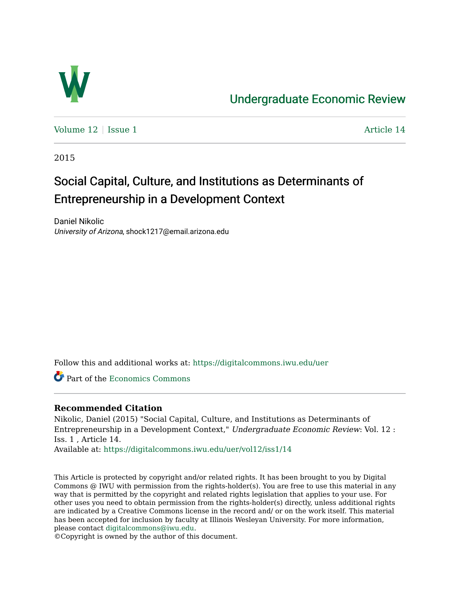

# [Undergraduate Economic Review](https://digitalcommons.iwu.edu/uer)

Volume  $12 \mid$  [Issue 1](https://digitalcommons.iwu.edu/uer/vol12/iss1)  $\blacksquare$ 

2015

# Social Capital, Culture, and Institutions as Determinants of Entrepreneurship in a Development Context

Daniel Nikolic University of Arizona, shock1217@email.arizona.edu

Follow this and additional works at: [https://digitalcommons.iwu.edu/uer](https://digitalcommons.iwu.edu/uer?utm_source=digitalcommons.iwu.edu%2Fuer%2Fvol12%2Fiss1%2F14&utm_medium=PDF&utm_campaign=PDFCoverPages)

Part of the [Economics Commons](http://network.bepress.com/hgg/discipline/340?utm_source=digitalcommons.iwu.edu%2Fuer%2Fvol12%2Fiss1%2F14&utm_medium=PDF&utm_campaign=PDFCoverPages) 

# **Recommended Citation**

Nikolic, Daniel (2015) "Social Capital, Culture, and Institutions as Determinants of Entrepreneurship in a Development Context," Undergraduate Economic Review: Vol. 12 : Iss. 1 , Article 14.

Available at: [https://digitalcommons.iwu.edu/uer/vol12/iss1/14](https://digitalcommons.iwu.edu/uer/vol12/iss1/14?utm_source=digitalcommons.iwu.edu%2Fuer%2Fvol12%2Fiss1%2F14&utm_medium=PDF&utm_campaign=PDFCoverPages) 

This Article is protected by copyright and/or related rights. It has been brought to you by Digital Commons @ IWU with permission from the rights-holder(s). You are free to use this material in any way that is permitted by the copyright and related rights legislation that applies to your use. For other uses you need to obtain permission from the rights-holder(s) directly, unless additional rights are indicated by a Creative Commons license in the record and/ or on the work itself. This material has been accepted for inclusion by faculty at Illinois Wesleyan University. For more information, please contact [digitalcommons@iwu.edu.](mailto:digitalcommons@iwu.edu)

©Copyright is owned by the author of this document.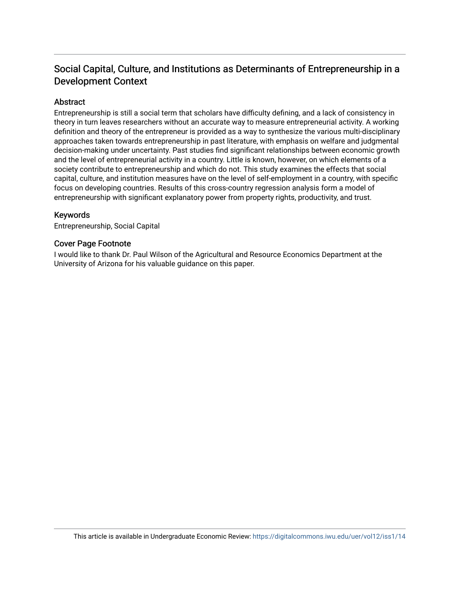# Social Capital, Culture, and Institutions as Determinants of Entrepreneurship in a Development Context

# **Abstract**

Entrepreneurship is still a social term that scholars have difficulty defining, and a lack of consistency in theory in turn leaves researchers without an accurate way to measure entrepreneurial activity. A working definition and theory of the entrepreneur is provided as a way to synthesize the various multi-disciplinary approaches taken towards entrepreneurship in past literature, with emphasis on welfare and judgmental decision-making under uncertainty. Past studies find significant relationships between economic growth and the level of entrepreneurial activity in a country. Little is known, however, on which elements of a society contribute to entrepreneurship and which do not. This study examines the effects that social capital, culture, and institution measures have on the level of self-employment in a country, with specific focus on developing countries. Results of this cross-country regression analysis form a model of entrepreneurship with significant explanatory power from property rights, productivity, and trust.

#### Keywords

Entrepreneurship, Social Capital

#### Cover Page Footnote

I would like to thank Dr. Paul Wilson of the Agricultural and Resource Economics Department at the University of Arizona for his valuable guidance on this paper.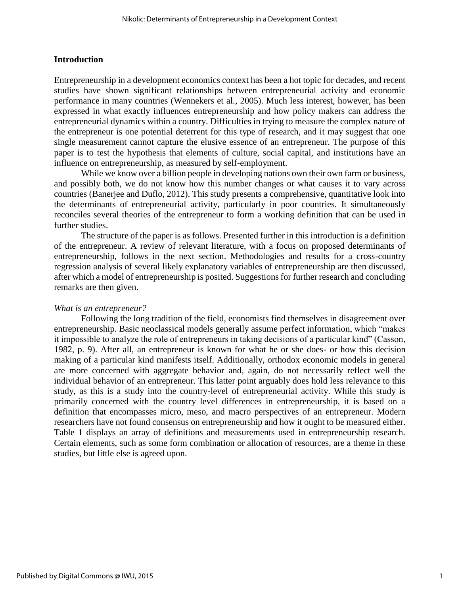# **Introduction**

Entrepreneurship in a development economics context has been a hot topic for decades, and recent studies have shown significant relationships between entrepreneurial activity and economic performance in many countries (Wennekers et al., 2005). Much less interest, however, has been expressed in what exactly influences entrepreneurship and how policy makers can address the entrepreneurial dynamics within a country. Difficulties in trying to measure the complex nature of the entrepreneur is one potential deterrent for this type of research, and it may suggest that one single measurement cannot capture the elusive essence of an entrepreneur. The purpose of this paper is to test the hypothesis that elements of culture, social capital, and institutions have an influence on entrepreneurship, as measured by self-employment.

While we know over a billion people in developing nations own their own farm or business, and possibly both, we do not know how this number changes or what causes it to vary across countries (Banerjee and Duflo, 2012). This study presents a comprehensive, quantitative look into the determinants of entrepreneurial activity, particularly in poor countries. It simultaneously reconciles several theories of the entrepreneur to form a working definition that can be used in further studies.

The structure of the paper is as follows. Presented further in this introduction is a definition of the entrepreneur. A review of relevant literature, with a focus on proposed determinants of entrepreneurship, follows in the next section. Methodologies and results for a cross-country regression analysis of several likely explanatory variables of entrepreneurship are then discussed, after which a model of entrepreneurship is posited. Suggestions for further research and concluding remarks are then given.

# *What is an entrepreneur?*

Following the long tradition of the field, economists find themselves in disagreement over entrepreneurship. Basic neoclassical models generally assume perfect information, which "makes it impossible to analyze the role of entrepreneurs in taking decisions of a particular kind" (Casson, 1982, p. 9). After all, an entrepreneur is known for what he or she does- or how this decision making of a particular kind manifests itself. Additionally, orthodox economic models in general are more concerned with aggregate behavior and, again, do not necessarily reflect well the individual behavior of an entrepreneur. This latter point arguably does hold less relevance to this study, as this is a study into the country-level of entrepreneurial activity. While this study is primarily concerned with the country level differences in entrepreneurship, it is based on a definition that encompasses micro, meso, and macro perspectives of an entrepreneur. Modern researchers have not found consensus on entrepreneurship and how it ought to be measured either. Table 1 displays an array of definitions and measurements used in entrepreneurship research. Certain elements, such as some form combination or allocation of resources, are a theme in these studies, but little else is agreed upon.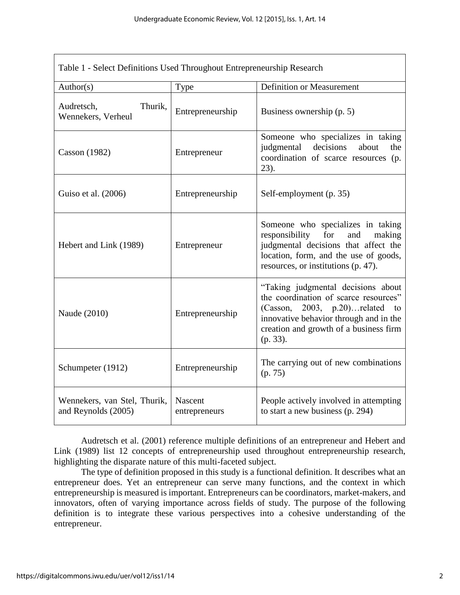| Table 1 - Select Definitions Used Throughout Entrepreneurship Research |                          |                                                                                                                                                                                                                        |  |  |  |  |
|------------------------------------------------------------------------|--------------------------|------------------------------------------------------------------------------------------------------------------------------------------------------------------------------------------------------------------------|--|--|--|--|
| Author(s)                                                              | Type                     | <b>Definition or Measurement</b>                                                                                                                                                                                       |  |  |  |  |
| Thurik,<br>Audretsch,<br>Wennekers, Verheul                            | Entrepreneurship         | Business ownership (p. 5)                                                                                                                                                                                              |  |  |  |  |
| Casson $(1982)$                                                        | Entrepreneur             | Someone who specializes in taking<br>judgmental<br>decisions<br>about<br>the<br>coordination of scarce resources (p.<br>23).                                                                                           |  |  |  |  |
| Guiso et al. (2006)                                                    | Entrepreneurship         | Self-employment (p. 35)                                                                                                                                                                                                |  |  |  |  |
| Hebert and Link (1989)                                                 | Entrepreneur             | Someone who specializes in taking<br>responsibility for<br>and<br>making<br>judgmental decisions that affect the<br>location, form, and the use of goods,<br>resources, or institutions (p. 47).                       |  |  |  |  |
| Naude (2010)                                                           | Entrepreneurship         | "Taking judgmental decisions about<br>the coordination of scarce resources"<br>(Casson, $2003$ , $p.20$ )related to<br>innovative behavior through and in the<br>creation and growth of a business firm<br>$(p. 33)$ . |  |  |  |  |
| Schumpeter (1912)                                                      | Entrepreneurship         | The carrying out of new combinations<br>(p. 75)                                                                                                                                                                        |  |  |  |  |
| Wennekers, van Stel, Thurik,<br>and Reynolds (2005)                    | Nascent<br>entrepreneurs | People actively involved in attempting<br>to start a new business (p. 294)                                                                                                                                             |  |  |  |  |

Audretsch et al. (2001) reference multiple definitions of an entrepreneur and Hebert and Link (1989) list 12 concepts of entrepreneurship used throughout entrepreneurship research, highlighting the disparate nature of this multi-faceted subject.

The type of definition proposed in this study is a functional definition. It describes what an entrepreneur does. Yet an entrepreneur can serve many functions, and the context in which entrepreneurship is measured is important. Entrepreneurs can be coordinators, market-makers, and innovators, often of varying importance across fields of study. The purpose of the following definition is to integrate these various perspectives into a cohesive understanding of the entrepreneur.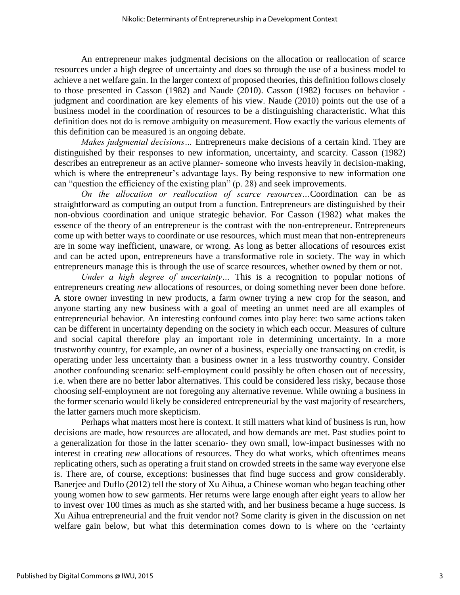An entrepreneur makes judgmental decisions on the allocation or reallocation of scarce resources under a high degree of uncertainty and does so through the use of a business model to achieve a net welfare gain. In the larger context of proposed theories, this definition follows closely to those presented in Casson (1982) and Naude (2010). Casson (1982) focuses on behavior judgment and coordination are key elements of his view. Naude (2010) points out the use of a business model in the coordination of resources to be a distinguishing characteristic. What this definition does not do is remove ambiguity on measurement. How exactly the various elements of this definition can be measured is an ongoing debate.

*Makes judgmental decisions…* Entrepreneurs make decisions of a certain kind. They are distinguished by their responses to new information, uncertainty, and scarcity. Casson (1982) describes an entrepreneur as an active planner- someone who invests heavily in decision-making, which is where the entrepreneur's advantage lays. By being responsive to new information one can "question the efficiency of the existing plan" (p. 28) and seek improvements.

*On the allocation or reallocation of scarce resources…*Coordination can be as straightforward as computing an output from a function. Entrepreneurs are distinguished by their non-obvious coordination and unique strategic behavior. For Casson (1982) what makes the essence of the theory of an entrepreneur is the contrast with the non-entrepreneur. Entrepreneurs come up with better ways to coordinate or use resources, which must mean that non-entrepreneurs are in some way inefficient, unaware, or wrong. As long as better allocations of resources exist and can be acted upon, entrepreneurs have a transformative role in society. The way in which entrepreneurs manage this is through the use of scarce resources, whether owned by them or not.

*Under a high degree of uncertainty…* This is a recognition to popular notions of entrepreneurs creating *new* allocations of resources, or doing something never been done before. A store owner investing in new products, a farm owner trying a new crop for the season, and anyone starting any new business with a goal of meeting an unmet need are all examples of entrepreneurial behavior. An interesting confound comes into play here: two same actions taken can be different in uncertainty depending on the society in which each occur. Measures of culture and social capital therefore play an important role in determining uncertainty. In a more trustworthy country, for example, an owner of a business, especially one transacting on credit, is operating under less uncertainty than a business owner in a less trustworthy country. Consider another confounding scenario: self-employment could possibly be often chosen out of necessity, i.e. when there are no better labor alternatives. This could be considered less risky, because those choosing self-employment are not foregoing any alternative revenue. While owning a business in the former scenario would likely be considered entrepreneurial by the vast majority of researchers, the latter garners much more skepticism.

Perhaps what matters most here is context. It still matters what kind of business is run, how decisions are made, how resources are allocated, and how demands are met. Past studies point to a generalization for those in the latter scenario- they own small, low-impact businesses with no interest in creating *new* allocations of resources. They do what works, which oftentimes means replicating others, such as operating a fruit stand on crowded streets in the same way everyone else is. There are, of course, exceptions: businesses that find huge success and grow considerably. Banerjee and Duflo (2012) tell the story of Xu Aihua, a Chinese woman who began teaching other young women how to sew garments. Her returns were large enough after eight years to allow her to invest over 100 times as much as she started with, and her business became a huge success. Is Xu Aihua entrepreneurial and the fruit vendor not? Some clarity is given in the discussion on net welfare gain below, but what this determination comes down to is where on the 'certainty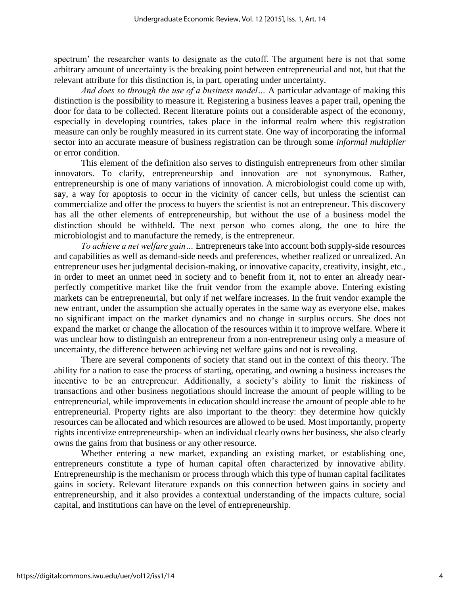spectrum' the researcher wants to designate as the cutoff. The argument here is not that some arbitrary amount of uncertainty is the breaking point between entrepreneurial and not, but that the relevant attribute for this distinction is, in part, operating under uncertainty.

*And does so through the use of a business model…* A particular advantage of making this distinction is the possibility to measure it. Registering a business leaves a paper trail, opening the door for data to be collected. Recent literature points out a considerable aspect of the economy, especially in developing countries, takes place in the informal realm where this registration measure can only be roughly measured in its current state. One way of incorporating the informal sector into an accurate measure of business registration can be through some *informal multiplier* or error condition.

This element of the definition also serves to distinguish entrepreneurs from other similar innovators. To clarify, entrepreneurship and innovation are not synonymous. Rather, entrepreneurship is one of many variations of innovation. A microbiologist could come up with, say, a way for apoptosis to occur in the vicinity of cancer cells, but unless the scientist can commercialize and offer the process to buyers the scientist is not an entrepreneur. This discovery has all the other elements of entrepreneurship, but without the use of a business model the distinction should be withheld. The next person who comes along, the one to hire the microbiologist and to manufacture the remedy, is the entrepreneur.

*To achieve a net welfare gain…* Entrepreneurs take into account both supply-side resources and capabilities as well as demand-side needs and preferences, whether realized or unrealized. An entrepreneur uses her judgmental decision-making, or innovative capacity, creativity, insight, etc., in order to meet an unmet need in society and to benefit from it, not to enter an already nearperfectly competitive market like the fruit vendor from the example above. Entering existing markets can be entrepreneurial, but only if net welfare increases. In the fruit vendor example the new entrant, under the assumption she actually operates in the same way as everyone else, makes no significant impact on the market dynamics and no change in surplus occurs. She does not expand the market or change the allocation of the resources within it to improve welfare. Where it was unclear how to distinguish an entrepreneur from a non-entrepreneur using only a measure of uncertainty, the difference between achieving net welfare gains and not is revealing.

There are several components of society that stand out in the context of this theory. The ability for a nation to ease the process of starting, operating, and owning a business increases the incentive to be an entrepreneur. Additionally, a society's ability to limit the riskiness of transactions and other business negotiations should increase the amount of people willing to be entrepreneurial, while improvements in education should increase the amount of people able to be entrepreneurial. Property rights are also important to the theory: they determine how quickly resources can be allocated and which resources are allowed to be used. Most importantly, property rights incentivize entrepreneurship- when an individual clearly owns her business, she also clearly owns the gains from that business or any other resource.

Whether entering a new market, expanding an existing market, or establishing one, entrepreneurs constitute a type of human capital often characterized by innovative ability. Entrepreneurship is the mechanism or process through which this type of human capital facilitates gains in society. Relevant literature expands on this connection between gains in society and entrepreneurship, and it also provides a contextual understanding of the impacts culture, social capital, and institutions can have on the level of entrepreneurship.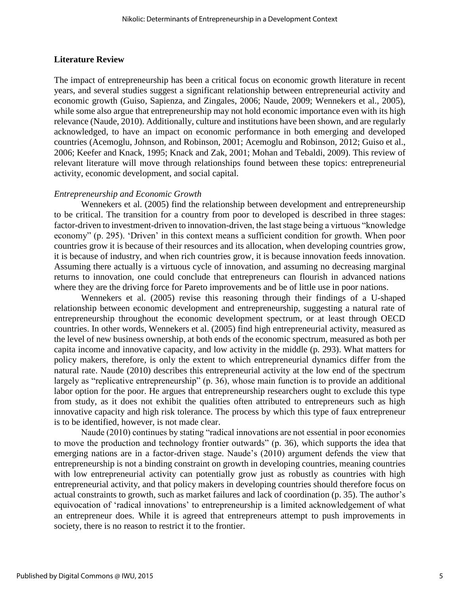# **Literature Review**

The impact of entrepreneurship has been a critical focus on economic growth literature in recent years, and several studies suggest a significant relationship between entrepreneurial activity and economic growth (Guiso, Sapienza, and Zingales, 2006; Naude, 2009; Wennekers et al., 2005), while some also argue that entrepreneurship may not hold economic importance even with its high relevance (Naude, 2010). Additionally, culture and institutions have been shown, and are regularly acknowledged, to have an impact on economic performance in both emerging and developed countries (Acemoglu, Johnson, and Robinson, 2001; Acemoglu and Robinson, 2012; Guiso et al., 2006; Keefer and Knack, 1995; Knack and Zak, 2001; Mohan and Tebaldi, 2009). This review of relevant literature will move through relationships found between these topics: entrepreneurial activity, economic development, and social capital.

# *Entrepreneurship and Economic Growth*

Wennekers et al. (2005) find the relationship between development and entrepreneurship to be critical. The transition for a country from poor to developed is described in three stages: factor-driven to investment-driven to innovation-driven, the last stage being a virtuous "knowledge economy" (p. 295). 'Driven' in this context means a sufficient condition for growth. When poor countries grow it is because of their resources and its allocation, when developing countries grow, it is because of industry, and when rich countries grow, it is because innovation feeds innovation. Assuming there actually is a virtuous cycle of innovation, and assuming no decreasing marginal returns to innovation, one could conclude that entrepreneurs can flourish in advanced nations where they are the driving force for Pareto improvements and be of little use in poor nations.

Wennekers et al. (2005) revise this reasoning through their findings of a U-shaped relationship between economic development and entrepreneurship, suggesting a natural rate of entrepreneurship throughout the economic development spectrum, or at least through OECD countries. In other words, Wennekers et al. (2005) find high entrepreneurial activity, measured as the level of new business ownership, at both ends of the economic spectrum, measured as both per capita income and innovative capacity, and low activity in the middle (p. 293). What matters for policy makers, therefore, is only the extent to which entrepreneurial dynamics differ from the natural rate. Naude (2010) describes this entrepreneurial activity at the low end of the spectrum largely as "replicative entrepreneurship" (p. 36), whose main function is to provide an additional labor option for the poor. He argues that entrepreneurship researchers ought to exclude this type from study, as it does not exhibit the qualities often attributed to entrepreneurs such as high innovative capacity and high risk tolerance. The process by which this type of faux entrepreneur is to be identified, however, is not made clear.

Naude (2010) continues by stating "radical innovations are not essential in poor economies to move the production and technology frontier outwards" (p. 36), which supports the idea that emerging nations are in a factor-driven stage. Naude's (2010) argument defends the view that entrepreneurship is not a binding constraint on growth in developing countries, meaning countries with low entrepreneurial activity can potentially grow just as robustly as countries with high entrepreneurial activity, and that policy makers in developing countries should therefore focus on actual constraints to growth, such as market failures and lack of coordination (p. 35). The author's equivocation of 'radical innovations' to entrepreneurship is a limited acknowledgement of what an entrepreneur does. While it is agreed that entrepreneurs attempt to push improvements in society, there is no reason to restrict it to the frontier.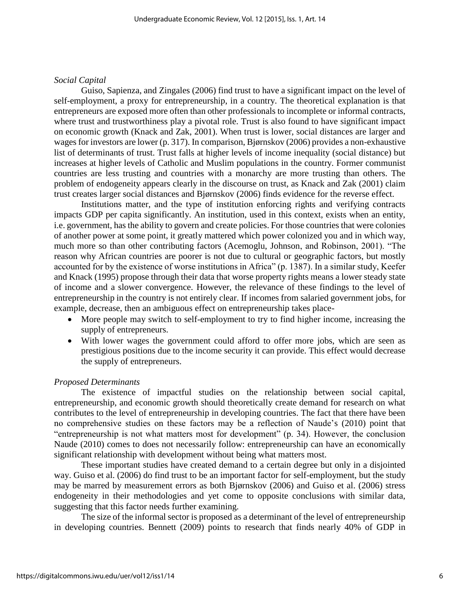#### *Social Capital*

Guiso, Sapienza, and Zingales (2006) find trust to have a significant impact on the level of self-employment, a proxy for entrepreneurship, in a country. The theoretical explanation is that entrepreneurs are exposed more often than other professionals to incomplete or informal contracts, where trust and trustworthiness play a pivotal role. Trust is also found to have significant impact on economic growth (Knack and Zak, 2001). When trust is lower, social distances are larger and wages for investors are lower (p. 317). In comparison, Bjørnskov (2006) provides a non-exhaustive list of determinants of trust. Trust falls at higher levels of income inequality (social distance) but increases at higher levels of Catholic and Muslim populations in the country. Former communist countries are less trusting and countries with a monarchy are more trusting than others. The problem of endogeneity appears clearly in the discourse on trust, as Knack and Zak (2001) claim trust creates larger social distances and Bjørnskov (2006) finds evidence for the reverse effect.

Institutions matter, and the type of institution enforcing rights and verifying contracts impacts GDP per capita significantly. An institution, used in this context, exists when an entity, i.e. government, has the ability to govern and create policies. For those countries that were colonies of another power at some point, it greatly mattered which power colonized you and in which way, much more so than other contributing factors (Acemoglu, Johnson, and Robinson, 2001). "The reason why African countries are poorer is not due to cultural or geographic factors, but mostly accounted for by the existence of worse institutions in Africa" (p. 1387). In a similar study, Keefer and Knack (1995) propose through their data that worse property rights means a lower steady state of income and a slower convergence. However, the relevance of these findings to the level of entrepreneurship in the country is not entirely clear. If incomes from salaried government jobs, for example, decrease, then an ambiguous effect on entrepreneurship takes place-

- More people may switch to self-employment to try to find higher income, increasing the supply of entrepreneurs.
- With lower wages the government could afford to offer more jobs, which are seen as prestigious positions due to the income security it can provide. This effect would decrease the supply of entrepreneurs.

#### *Proposed Determinants*

The existence of impactful studies on the relationship between social capital, entrepreneurship, and economic growth should theoretically create demand for research on what contributes to the level of entrepreneurship in developing countries. The fact that there have been no comprehensive studies on these factors may be a reflection of Naude's (2010) point that "entrepreneurship is not what matters most for development" (p. 34). However, the conclusion Naude (2010) comes to does not necessarily follow: entrepreneurship can have an economically significant relationship with development without being what matters most.

These important studies have created demand to a certain degree but only in a disjointed way. Guiso et al. (2006) do find trust to be an important factor for self-employment, but the study may be marred by measurement errors as both Bjørnskov (2006) and Guiso et al. (2006) stress endogeneity in their methodologies and yet come to opposite conclusions with similar data, suggesting that this factor needs further examining.

The size of the informal sector is proposed as a determinant of the level of entrepreneurship in developing countries. Bennett (2009) points to research that finds nearly 40% of GDP in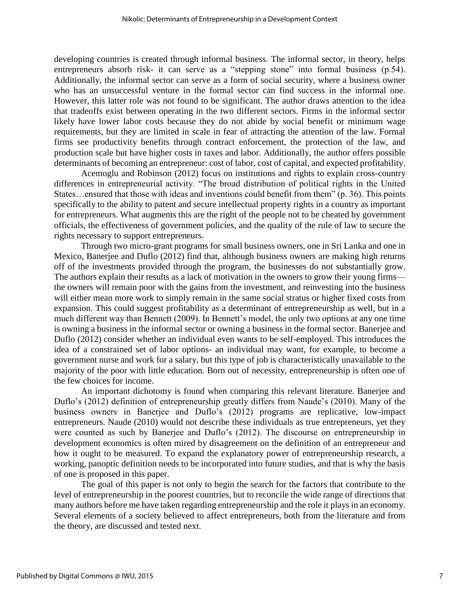developing countries is created through informal business. The informal sector, in theory, helps entrepreneurs absorb risk- it can serve as a "stepping stone" into formal business (p.54). Additionally, the informal sector can serve as a form of social security, where a business owner who has an unsuccessful venture in the formal sector can find success in the informal one. However, this latter role was not found to be significant. The author draws attention to the idea that tradeoffs exist between operating in the two different sectors. Firms in the informal sector likely have lower labor costs because they do not abide by social benefit or minimum wage requirements, but they are limited in scale in fear of attracting the attention of the law. Formal firms see productivity benefits through contract enforcement, the protection of the law, and production scale but have higher costs in taxes and labor. Additionally, the author offers possible determinants of becoming an entrepreneur: cost of labor, cost of capital, and expected profitability.

Acemoglu and Robinson (2012) focus on institutions and rights to explain cross-country differences in entrepreneurial activity. "The broad distribution of political rights in the United States…ensured that those with ideas and inventions could benefit from them" (p. 36). This points specifically to the ability to patent and secure intellectual property rights in a country as important for entrepreneurs. What augments this are the right of the people not to be cheated by government officials, the effectiveness of government policies, and the quality of the rule of law to secure the rights necessary to support entrepreneurs.

Through two micro-grant programs for small business owners, one in Sri Lanka and one in Mexico, Banerjee and Duflo (2012) find that, although business owners are making high returns off of the investments provided through the program, the businesses do not substantially grow. The authors explain their results as a lack of motivation in the owners to grow their young firms the owners will remain poor with the gains from the investment, and reinvesting into the business will either mean more work to simply remain in the same social stratus or higher fixed costs from expansion. This could suggest profitability as a determinant of entrepreneurship as well, but in a much different way than Bennett (2009). In Bennett's model, the only two options at any one time is owning a business in the informal sector or owning a business in the formal sector. Banerjee and Duflo (2012) consider whether an individual even wants to be self-employed. This introduces the idea of a constrained set of labor options- an individual may want, for example, to become a government nurse and work for a salary, but this type of job is characteristically unavailable to the majority of the poor with little education. Born out of necessity, entrepreneurship is often one of the few choices for income.

An important dichotomy is found when comparing this relevant literature. Banerjee and Duflo's (2012) definition of entrepreneurship greatly differs from Naude's (2010). Many of the business owners in Banerjee and Duflo's (2012) programs are replicative, low-impact entrepreneurs. Naude (2010) would not describe these individuals as true entrepreneurs, yet they were counted as such by Banerjee and Duflo's (2012). The discourse on entrepreneurship in development economics is often mired by disagreement on the definition of an entrepreneur and how it ought to be measured. To expand the explanatory power of entrepreneurship research, a working, panoptic definition needs to be incorporated into future studies, and that is why the basis of one is proposed in this paper.

The goal of this paper is not only to begin the search for the factors that contribute to the level of entrepreneurship in the poorest countries, but to reconcile the wide range of directions that many authors before me have taken regarding entrepreneurship and the role it plays in an economy. Several elements of a society believed to affect entrepreneurs, both from the literature and from the theory, are discussed and tested next.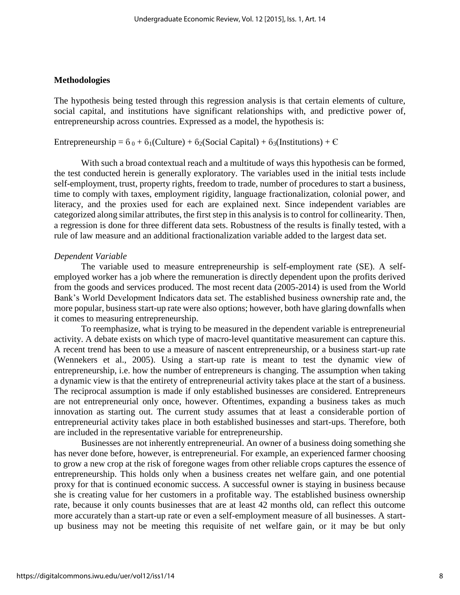#### **Methodologies**

The hypothesis being tested through this regression analysis is that certain elements of culture, social capital, and institutions have significant relationships with, and predictive power of, entrepreneurship across countries. Expressed as a model, the hypothesis is:

Entrepreneurship =  $6_0 + 6_1$ (Culture) +  $6_2$ (Social Capital) +  $6_3$ (Institutions) + C

With such a broad contextual reach and a multitude of ways this hypothesis can be formed, the test conducted herein is generally exploratory. The variables used in the initial tests include self-employment, trust, property rights, freedom to trade, number of procedures to start a business, time to comply with taxes, employment rigidity, language fractionalization, colonial power, and literacy, and the proxies used for each are explained next. Since independent variables are categorized along similar attributes, the first step in this analysis is to control for collinearity. Then, a regression is done for three different data sets. Robustness of the results is finally tested, with a rule of law measure and an additional fractionalization variable added to the largest data set.

# *Dependent Variable*

The variable used to measure entrepreneurship is self-employment rate (SE). A selfemployed worker has a job where the remuneration is directly dependent upon the profits derived from the goods and services produced. The most recent data (2005-2014) is used from the World Bank's World Development Indicators data set. The established business ownership rate and, the more popular, business start-up rate were also options; however, both have glaring downfalls when it comes to measuring entrepreneurship.

To reemphasize, what is trying to be measured in the dependent variable is entrepreneurial activity. A debate exists on which type of macro-level quantitative measurement can capture this. A recent trend has been to use a measure of nascent entrepreneurship, or a business start-up rate (Wennekers et al., 2005). Using a start-up rate is meant to test the dynamic view of entrepreneurship, i.e. how the number of entrepreneurs is changing. The assumption when taking a dynamic view is that the entirety of entrepreneurial activity takes place at the start of a business. The reciprocal assumption is made if only established businesses are considered. Entrepreneurs are not entrepreneurial only once, however. Oftentimes, expanding a business takes as much innovation as starting out. The current study assumes that at least a considerable portion of entrepreneurial activity takes place in both established businesses and start-ups. Therefore, both are included in the representative variable for entrepreneurship.

Businesses are not inherently entrepreneurial. An owner of a business doing something she has never done before, however, is entrepreneurial. For example, an experienced farmer choosing to grow a new crop at the risk of foregone wages from other reliable crops captures the essence of entrepreneurship. This holds only when a business creates net welfare gain, and one potential proxy for that is continued economic success. A successful owner is staying in business because she is creating value for her customers in a profitable way. The established business ownership rate, because it only counts businesses that are at least 42 months old, can reflect this outcome more accurately than a start-up rate or even a self-employment measure of all businesses. A startup business may not be meeting this requisite of net welfare gain, or it may be but only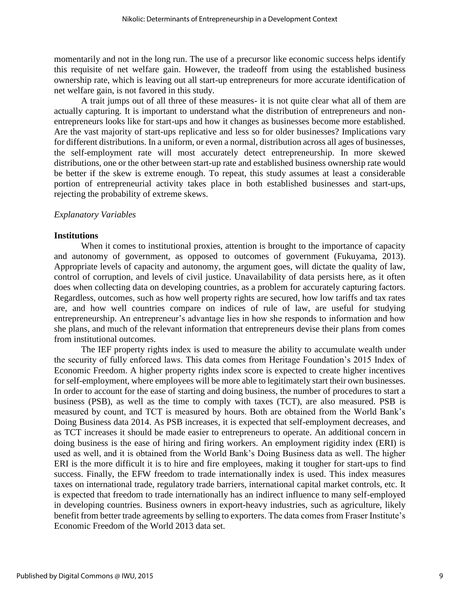momentarily and not in the long run. The use of a precursor like economic success helps identify this requisite of net welfare gain. However, the tradeoff from using the established business ownership rate, which is leaving out all start-up entrepreneurs for more accurate identification of net welfare gain, is not favored in this study.

A trait jumps out of all three of these measures- it is not quite clear what all of them are actually capturing. It is important to understand what the distribution of entrepreneurs and nonentrepreneurs looks like for start-ups and how it changes as businesses become more established. Are the vast majority of start-ups replicative and less so for older businesses? Implications vary for different distributions. In a uniform, or even a normal, distribution across all ages of businesses, the self-employment rate will most accurately detect entrepreneurship. In more skewed distributions, one or the other between start-up rate and established business ownership rate would be better if the skew is extreme enough. To repeat, this study assumes at least a considerable portion of entrepreneurial activity takes place in both established businesses and start-ups, rejecting the probability of extreme skews.

#### *Explanatory Variables*

#### **Institutions**

When it comes to institutional proxies, attention is brought to the importance of capacity and autonomy of government, as opposed to outcomes of government (Fukuyama, 2013). Appropriate levels of capacity and autonomy, the argument goes, will dictate the quality of law, control of corruption, and levels of civil justice. Unavailability of data persists here, as it often does when collecting data on developing countries, as a problem for accurately capturing factors. Regardless, outcomes, such as how well property rights are secured, how low tariffs and tax rates are, and how well countries compare on indices of rule of law, are useful for studying entrepreneurship. An entrepreneur's advantage lies in how she responds to information and how she plans, and much of the relevant information that entrepreneurs devise their plans from comes from institutional outcomes.

The IEF property rights index is used to measure the ability to accumulate wealth under the security of fully enforced laws. This data comes from Heritage Foundation's 2015 Index of Economic Freedom. A higher property rights index score is expected to create higher incentives for self-employment, where employees will be more able to legitimately start their own businesses. In order to account for the ease of starting and doing business, the number of procedures to start a business (PSB), as well as the time to comply with taxes (TCT), are also measured. PSB is measured by count, and TCT is measured by hours. Both are obtained from the World Bank's Doing Business data 2014. As PSB increases, it is expected that self-employment decreases, and as TCT increases it should be made easier to entrepreneurs to operate. An additional concern in doing business is the ease of hiring and firing workers. An employment rigidity index (ERI) is used as well, and it is obtained from the World Bank's Doing Business data as well. The higher ERI is the more difficult it is to hire and fire employees, making it tougher for start-ups to find success. Finally, the EFW freedom to trade internationally index is used. This index measures taxes on international trade, regulatory trade barriers, international capital market controls, etc. It is expected that freedom to trade internationally has an indirect influence to many self-employed in developing countries. Business owners in export-heavy industries, such as agriculture, likely benefit from better trade agreements by selling to exporters. The data comes from Fraser Institute's Economic Freedom of the World 2013 data set.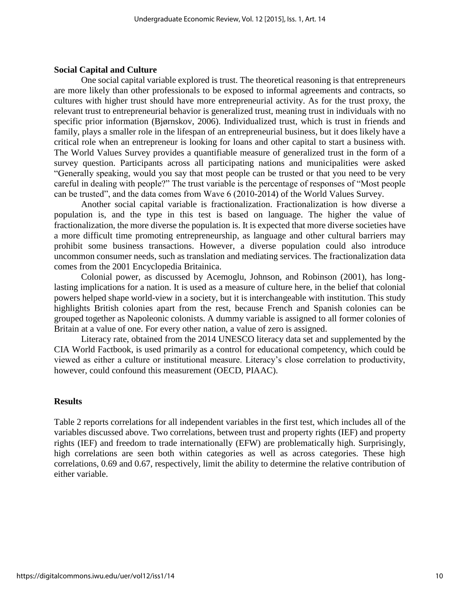#### **Social Capital and Culture**

One social capital variable explored is trust. The theoretical reasoning is that entrepreneurs are more likely than other professionals to be exposed to informal agreements and contracts, so cultures with higher trust should have more entrepreneurial activity. As for the trust proxy, the relevant trust to entrepreneurial behavior is generalized trust, meaning trust in individuals with no specific prior information (Bjørnskov, 2006). Individualized trust, which is trust in friends and family, plays a smaller role in the lifespan of an entrepreneurial business, but it does likely have a critical role when an entrepreneur is looking for loans and other capital to start a business with. The World Values Survey provides a quantifiable measure of generalized trust in the form of a survey question. Participants across all participating nations and municipalities were asked "Generally speaking, would you say that most people can be trusted or that you need to be very careful in dealing with people?" The trust variable is the percentage of responses of "Most people can be trusted", and the data comes from Wave 6 (2010-2014) of the World Values Survey.

Another social capital variable is fractionalization. Fractionalization is how diverse a population is, and the type in this test is based on language. The higher the value of fractionalization, the more diverse the population is. It is expected that more diverse societies have a more difficult time promoting entrepreneurship, as language and other cultural barriers may prohibit some business transactions. However, a diverse population could also introduce uncommon consumer needs, such as translation and mediating services. The fractionalization data comes from the 2001 Encyclopedia Britainica.

Colonial power, as discussed by Acemoglu, Johnson, and Robinson (2001), has longlasting implications for a nation. It is used as a measure of culture here, in the belief that colonial powers helped shape world-view in a society, but it is interchangeable with institution. This study highlights British colonies apart from the rest, because French and Spanish colonies can be grouped together as Napoleonic colonists. A dummy variable is assigned to all former colonies of Britain at a value of one. For every other nation, a value of zero is assigned.

Literacy rate, obtained from the 2014 UNESCO literacy data set and supplemented by the CIA World Factbook, is used primarily as a control for educational competency, which could be viewed as either a culture or institutional measure. Literacy's close correlation to productivity, however, could confound this measurement (OECD, PIAAC).

### **Results**

Table 2 reports correlations for all independent variables in the first test, which includes all of the variables discussed above. Two correlations, between trust and property rights (IEF) and property rights (IEF) and freedom to trade internationally (EFW) are problematically high. Surprisingly, high correlations are seen both within categories as well as across categories. These high correlations, 0.69 and 0.67, respectively, limit the ability to determine the relative contribution of either variable.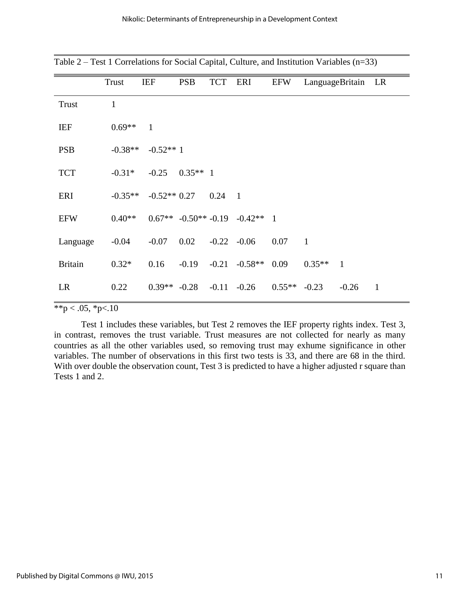|                | Trust        | <b>IEF</b>     | <b>PSB</b> | <b>TCT</b> | ERI                                    | <b>EFW</b> | LanguageBritain |              | LR           |
|----------------|--------------|----------------|------------|------------|----------------------------------------|------------|-----------------|--------------|--------------|
| <b>Trust</b>   | $\mathbf{1}$ |                |            |            |                                        |            |                 |              |              |
| <b>IEF</b>     | $0.69**$     | $\mathbf{1}$   |            |            |                                        |            |                 |              |              |
| <b>PSB</b>     | $-0.38**$    | $-0.52**1$     |            |            |                                        |            |                 |              |              |
| <b>TCT</b>     | $-0.31*$     | $-0.25$        | $0.35**$ 1 |            |                                        |            |                 |              |              |
| ERI            | $-0.35**$    | $-0.52**0.27$  |            | 0.24       | $\overline{1}$                         |            |                 |              |              |
| <b>EFW</b>     | $0.40**$     |                |            |            | $0.67**$ $-0.50**$ $-0.19$ $-0.42**$ 1 |            |                 |              |              |
| Language       | $-0.04$      | $-0.07$        | 0.02       |            | $-0.22 - 0.06$                         | 0.07       | $\mathbf{1}$    |              |              |
| <b>Britain</b> | $0.32*$      | 0.16           | $-0.19$    | $-0.21$    | $-0.58**$                              | 0.09       | $0.35**$        | $\mathbf{1}$ |              |
| LR             | 0.22         | $0.39** -0.28$ |            |            | $-0.11 - 0.26$                         | $0.55**$   | $-0.23$         | $-0.26$      | $\mathbf{1}$ |

Table 2 – Test 1 Correlations for Social Capital, Culture, and Institution Variables (n=33)

# $*$  $*$ p < .05,  $*$ p<.10

Test 1 includes these variables, but Test 2 removes the IEF property rights index. Test 3, in contrast, removes the trust variable. Trust measures are not collected for nearly as many countries as all the other variables used, so removing trust may exhume significance in other variables. The number of observations in this first two tests is 33, and there are 68 in the third. With over double the observation count, Test 3 is predicted to have a higher adjusted r square than Tests 1 and 2.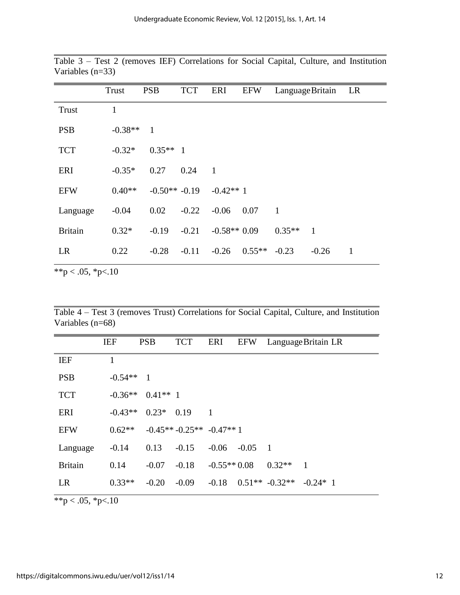|                | Trust     | <b>PSB</b>      | <b>TCT</b> | ERI           | <b>EFW</b> | Language Britain |                | LR |
|----------------|-----------|-----------------|------------|---------------|------------|------------------|----------------|----|
| Trust          | 1         |                 |            |               |            |                  |                |    |
| <b>PSB</b>     | $-0.38**$ | -1              |            |               |            |                  |                |    |
| <b>TCT</b>     | $-0.32*$  | $0.35**1$       |            |               |            |                  |                |    |
| ERI            | $-0.35*$  | 0.27            | 0.24       | $\mathbf{1}$  |            |                  |                |    |
| <b>EFW</b>     | $0.40**$  | $-0.50** -0.19$ |            | $-0.42**1$    |            |                  |                |    |
| Language       | $-0.04$   | 0.02            | $-0.22$    | $-0.06$       | 0.07       | $\overline{1}$   |                |    |
| <b>Britain</b> | $0.32*$   | $-0.19$         | $-0.21$    | $-0.58**0.09$ |            | $0.35**$         | $\overline{1}$ |    |
| <b>LR</b>      | 0.22      | $-0.28$         | $-0.11$    | $-0.26$       | $0.55**$   | $-0.23$          | $-0.26$        | 1  |

Table 3 – Test 2 (removes IEF) Correlations for Social Capital, Culture, and Institution Variables (n=33)

\*\*p < .05, \*p < .10

Table 4 – Test 3 (removes Trust) Correlations for Social Capital, Culture, and Institution Variables (n=68)

|                | <b>IEF</b> | <b>PSB</b>     | <b>TCT</b>               | ERI            | <b>EFW</b> |                  | Language Britain LR |
|----------------|------------|----------------|--------------------------|----------------|------------|------------------|---------------------|
| <b>IEF</b>     | 1          |                |                          |                |            |                  |                     |
| <b>PSB</b>     | $-0.54**$  | $\overline{1}$ |                          |                |            |                  |                     |
| <b>TCT</b>     | $-0.36**$  | $0.41**$ 1     |                          |                |            |                  |                     |
| ERI            | $-0.43**$  | $0.23*$        | 0.19                     | $\blacksquare$ |            |                  |                     |
| <b>EFW</b>     | $0.62**$   |                | $-0.45**-0.25**-0.47**1$ |                |            |                  |                     |
| Language       | $-0.14$    | 0.13           | $-0.15$                  | $-0.06$        | $-0.05$    | $\overline{1}$   |                     |
| <b>Britain</b> | 0.14       | $-0.07$        | $-0.18$                  | $-0.55**0.08$  |            | $0.32**$         | $\overline{1}$      |
| LR             | $0.33**$   | $-0.20$        | $-0.09$                  | $-0.18$        |            | $0.51** -0.32**$ | $-0.24*$ 1          |

 $*$ <sub>\*</sub> $p$  < .05, \*p<.10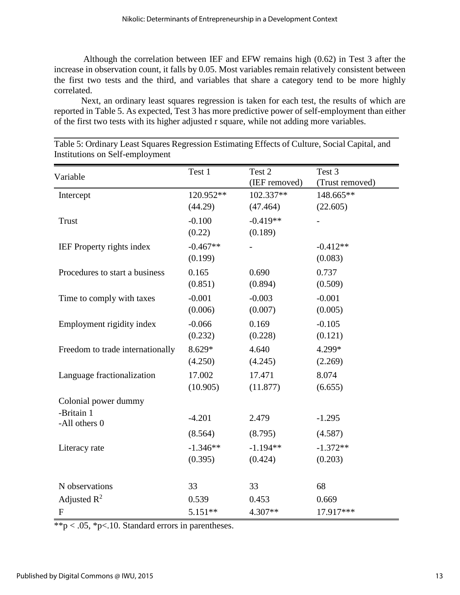Although the correlation between IEF and EFW remains high (0.62) in Test 3 after the increase in observation count, it falls by 0.05. Most variables remain relatively consistent between the first two tests and the third, and variables that share a category tend to be more highly correlated.

Next, an ordinary least squares regression is taken for each test, the results of which are reported in Table 5. As expected, Test 3 has more predictive power of self-employment than either of the first two tests with its higher adjusted r square, while not adding more variables.

| Variable                                            | Test 1                | Test 2<br>(IEF removed) | Test 3<br>(Trust removed) |
|-----------------------------------------------------|-----------------------|-------------------------|---------------------------|
| Intercept                                           | 120.952**             | 102.337**               | 148.665**                 |
|                                                     | (44.29)               | (47.464)                | (22.605)                  |
| <b>Trust</b>                                        | $-0.100$<br>(0.22)    | $-0.419**$<br>(0.189)   |                           |
| <b>IEF</b> Property rights index                    | $-0.467**$<br>(0.199) |                         | $-0.412**$<br>(0.083)     |
| Procedures to start a business                      | 0.165                 | 0.690                   | 0.737                     |
|                                                     | (0.851)               | (0.894)                 | (0.509)                   |
| Time to comply with taxes                           | $-0.001$              | $-0.003$                | $-0.001$                  |
|                                                     | (0.006)               | (0.007)                 | (0.005)                   |
| Employment rigidity index                           | $-0.066$              | 0.169                   | $-0.105$                  |
|                                                     | (0.232)               | (0.228)                 | (0.121)                   |
| Freedom to trade internationally                    | 8.629*                | 4.640                   | 4.299*                    |
|                                                     | (4.250)               | (4.245)                 | (2.269)                   |
| Language fractionalization                          | 17.002                | 17.471                  | 8.074                     |
|                                                     | (10.905)              | (11.877)                | (6.655)                   |
| Colonial power dummy<br>-Britain 1<br>-All others 0 | $-4.201$<br>(8.564)   | 2.479<br>(8.795)        | $-1.295$<br>(4.587)       |
| Literacy rate                                       | $-1.346**$            | $-1.194**$              | $-1.372**$                |
|                                                     | (0.395)               | (0.424)                 | (0.203)                   |
| N observations                                      | 33                    | 33                      | 68                        |
| Adjusted $R^2$                                      | 0.539                 | 0.453                   | 0.669                     |
| $\boldsymbol{F}$                                    | $5.151**$             | 4.307**                 | 17.917***                 |

Table 5: Ordinary Least Squares Regression Estimating Effects of Culture, Social Capital, and Institutions on Self-employment

 $*$  $*$  $p$  < .05,  $*$  $p$  < .10. Standard errors in parentheses.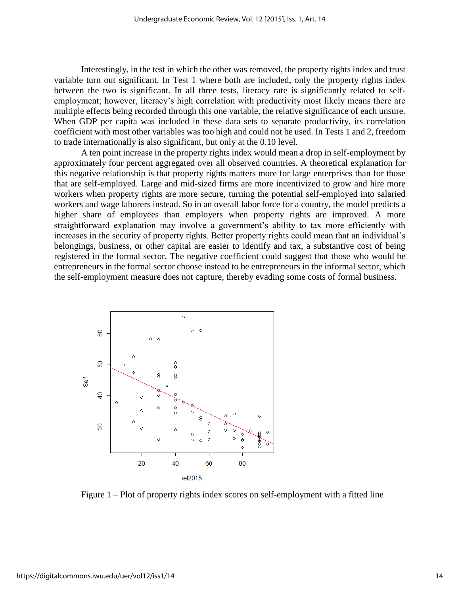Interestingly, in the test in which the other was removed, the property rights index and trust variable turn out significant. In Test 1 where both are included, only the property rights index between the two is significant. In all three tests, literacy rate is significantly related to selfemployment; however, literacy's high correlation with productivity most likely means there are multiple effects being recorded through this one variable, the relative significance of each unsure. When GDP per capita was included in these data sets to separate productivity, its correlation coefficient with most other variables was too high and could not be used. In Tests 1 and 2, freedom to trade internationally is also significant, but only at the 0.10 level.

A ten point increase in the property rights index would mean a drop in self-employment by approximately four percent aggregated over all observed countries. A theoretical explanation for this negative relationship is that property rights matters more for large enterprises than for those that are self-employed. Large and mid-sized firms are more incentivized to grow and hire more workers when property rights are more secure, turning the potential self-employed into salaried workers and wage laborers instead. So in an overall labor force for a country, the model predicts a higher share of employees than employers when property rights are improved. A more straightforward explanation may involve a government's ability to tax more efficiently with increases in the security of property rights. Better property rights could mean that an individual's belongings, business, or other capital are easier to identify and tax, a substantive cost of being registered in the formal sector. The negative coefficient could suggest that those who would be entrepreneurs in the formal sector choose instead to be entrepreneurs in the informal sector, which the self-employment measure does not capture, thereby evading some costs of formal business.



Figure 1 – Plot of property rights index scores on self-employment with a fitted line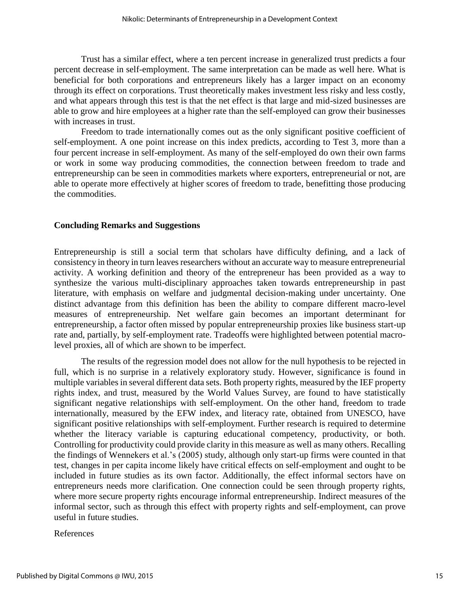Trust has a similar effect, where a ten percent increase in generalized trust predicts a four percent decrease in self-employment. The same interpretation can be made as well here. What is beneficial for both corporations and entrepreneurs likely has a larger impact on an economy through its effect on corporations. Trust theoretically makes investment less risky and less costly, and what appears through this test is that the net effect is that large and mid-sized businesses are able to grow and hire employees at a higher rate than the self-employed can grow their businesses with increases in trust.

Freedom to trade internationally comes out as the only significant positive coefficient of self-employment. A one point increase on this index predicts, according to Test 3, more than a four percent increase in self-employment. As many of the self-employed do own their own farms or work in some way producing commodities, the connection between freedom to trade and entrepreneurship can be seen in commodities markets where exporters, entrepreneurial or not, are able to operate more effectively at higher scores of freedom to trade, benefitting those producing the commodities.

# **Concluding Remarks and Suggestions**

Entrepreneurship is still a social term that scholars have difficulty defining, and a lack of consistency in theory in turn leaves researchers without an accurate way to measure entrepreneurial activity. A working definition and theory of the entrepreneur has been provided as a way to synthesize the various multi-disciplinary approaches taken towards entrepreneurship in past literature, with emphasis on welfare and judgmental decision-making under uncertainty. One distinct advantage from this definition has been the ability to compare different macro-level measures of entrepreneurship. Net welfare gain becomes an important determinant for entrepreneurship, a factor often missed by popular entrepreneurship proxies like business start-up rate and, partially, by self-employment rate. Tradeoffs were highlighted between potential macrolevel proxies, all of which are shown to be imperfect.

The results of the regression model does not allow for the null hypothesis to be rejected in full, which is no surprise in a relatively exploratory study. However, significance is found in multiple variables in several different data sets. Both property rights, measured by the IEF property rights index, and trust, measured by the World Values Survey, are found to have statistically significant negative relationships with self-employment. On the other hand, freedom to trade internationally, measured by the EFW index, and literacy rate, obtained from UNESCO, have significant positive relationships with self-employment. Further research is required to determine whether the literacy variable is capturing educational competency, productivity, or both. Controlling for productivity could provide clarity in this measure as well as many others. Recalling the findings of Wennekers et al.'s (2005) study, although only start-up firms were counted in that test, changes in per capita income likely have critical effects on self-employment and ought to be included in future studies as its own factor. Additionally, the effect informal sectors have on entrepreneurs needs more clarification. One connection could be seen through property rights, where more secure property rights encourage informal entrepreneurship. Indirect measures of the informal sector, such as through this effect with property rights and self-employment, can prove useful in future studies.

References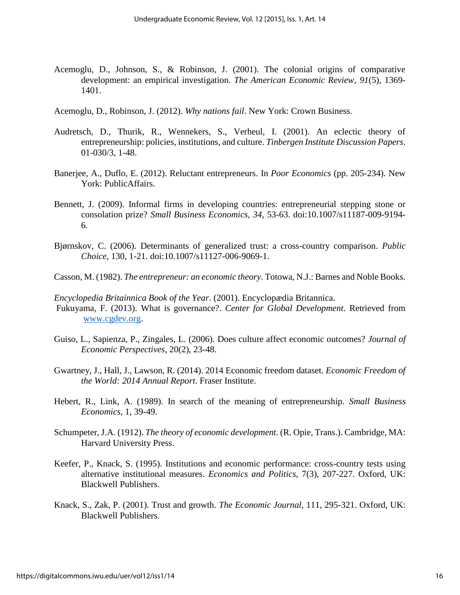- Acemoglu, D., Johnson, S., & Robinson, J. (2001). The colonial origins of comparative development: an empirical investigation. *The American Economic Review, 91*(5), 1369- 1401.
- Acemoglu, D., Robinson, J. (2012). *Why nations fail*. New York: Crown Business.
- Audretsch, D., Thurik, R., Wennekers, S., Verheul, I. (2001). An eclectic theory of entrepreneurship: policies, institutions, and culture. *Tinbergen Institute Discussion Papers*. 01-030/3, 1-48.
- Banerjee, A., Duflo, E. (2012). Reluctant entrepreneurs. In *Poor Economics* (pp. 205-234). New York: PublicAffairs.
- Bennett, J. (2009). Informal firms in developing countries: entrepreneurial stepping stone or consolation prize? *Small Business Economics, 34*, 53-63. doi:10.1007/s11187-009-9194- 6.
- Bjørnskov, C. (2006). Determinants of generalized trust: a cross-country comparison. *Public Choice*, 130, 1-21. doi:10.1007/s11127-006-9069-1.
- Casson, M. (1982). *The entrepreneur: an economic theory*. Totowa, N.J.: Barnes and Noble Books.
- *Encyclopedia Britainnica Book of the Year*. (2001). Encyclopædia Britannica.
- Fukuyama, F. (2013). What is governance?. *Center for Global Development*. Retrieved from [www.cgdev.org.](http://www.cgdev.org/)
- Guiso, L., Sapienza, P., Zingales, L. (2006). Does culture affect economic outcomes? *Journal of Economic Perspectives*, 20(2), 23-48.
- Gwartney, J., Hall, J., Lawson, R. (2014). 2014 Economic freedom dataset. *Economic Freedom of the World: 2014 Annual Report*. Fraser Institute.
- Hebert, R., Link, A. (1989). In search of the meaning of entrepreneurship. *Small Business Economics*, 1, 39-49.
- Schumpeter, J.A. (1912). *The theory of economic development.* (R. Opie, Trans.). Cambridge, MA: Harvard University Press.
- Keefer, P., Knack, S. (1995). Institutions and economic performance: cross-country tests using alternative institutional measures. *Economics and Politics*, 7(3), 207-227. Oxford, UK: Blackwell Publishers.
- Knack, S., Zak, P. (2001). Trust and growth. *The Economic Journal*, 111, 295-321. Oxford, UK: Blackwell Publishers.